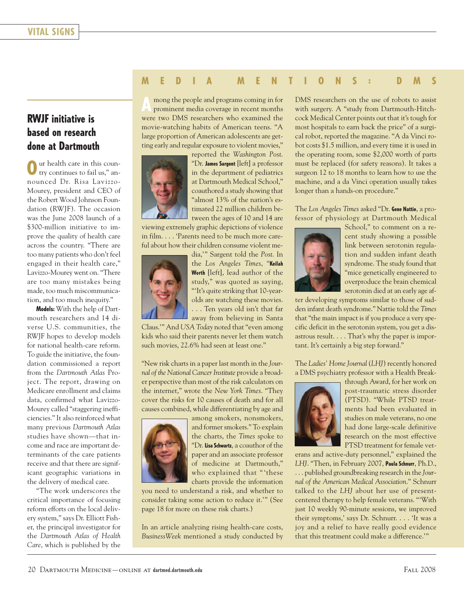## **M E D I A M E N T I O N S : D M S**

## **RWJF initiative is based on research done at Dartmouth**

ur health care in this country continues to fail us," announced Dr. Risa Lavizzo-Mourey, president and CEO of the Robert Wood Johnson Foundation (RWJF). The occasion was the June 2008 launch of a \$300-million initiative to improve the quality of health care across the country. "There are too many patients who don't feel engaged in their health care," Lavizzo-Mourey went on. "There are too many mistakes being made, too much miscommunication, and too much inequity."

**Models:** With the help of Dartmouth researchers and 14 diverse U.S. communities, the RWJF hopes to develop models for national health-care reform. To guide the initiative, the foundation commissioned a report from the *Dartmouth Atlas* Project. The report, drawing on Medicare enrollment and claims data, confirmed what Lavizzo-Mourey called "staggering inefficiencies." It also reinforced what many previous *Dartmouth Atlas* studies have shown—that income and race are important determinants of the care patients receive and that there are significant geographic variations in the delivery of medical care.

"The work underscores the critical importance of focusing reform efforts on the local delivery system," says Dr. Elliott Fisher, the principal investigator for the *Dartmouth Atlas of Health Care*, which is published by the

**A** mong the people and programs coming in for prominent media coverage in recent months were two DMS researchers who examined the movie-watching habits of American teens. "A large proportion of American adolescents are getting early and regular exposure to violent movies,"



reported the *Washington Post*. "Dr. **James Sargent** [left] a professor in the department of pediatrics at Dartmouth Medical School," coauthored a study showing that "almost 13% of the nation's estimated 22 million children between the ages of 10 and 14 are

viewing extremely graphic depictions of violence in film. . . . 'Parents need to be much more careful about how their children consume violent me-



dia,'" Sargent told the *Post*. In the *Los Angeles Times*, "**Keilah Worth** [left], lead author of the study," was quoted as saying, "'It's quite striking that 10-yearolds are watching these movies. . . . Ten years old isn't that far away from believing in Santa

Claus.'" And *USA Today* noted that "even among kids who said their parents never let them watch such movies, 22.6% had seen at least one."

"New risk charts in a paper last month in the *Journal of the National Cancer Institute* provide a broader perspective than most of the risk calculators on the internet," wrote the *New York Times*. "They cover the risks for 10 causes of death and for all causes combined, while differentiating by age and



among smokers, nonsmokers, and former smokers." To explain the charts, the *Times* spoke to "Dr. **Lisa Schwartz**, a coauthor of the paper and an associate professor of medicine at Dartmouth," who explained that " 'these charts provide the information

you need to understand a risk, and whether to consider taking some action to reduce it.'" (See page 18 for more on these risk charts.)

In an article analyzing rising health-care costs, *BusinessWeek* mentioned a study conducted by DMS researchers on the use of robots to assist with surgery. A "study from Dartmouth-Hitchcock Medical Center points out that it's tough for most hospitals to earn back the price" of a surgical robot, reported the magazine. "A da Vinci robot costs \$1.5 million, and every time it is used in the operating room, some \$2,000 worth of parts must be replaced (for safety reasons). It takes a surgeon 12 to 18 months to learn how to use the machine, and a da Vinci operation usually takes longer than a hands-on procedure."

The *Los Angeles Times* asked "Dr. **Gene Nattie**, a professor of physiology at Dartmouth Medical



School," to comment on a recent study showing a possible link between serotonin regulation and sudden infant death syndrome. The study found that "mice genetically engineered to overproduce the brain chemical serotonin died at an early age af-

ter developing symptoms similar to those of sudden infant death syndrome." Nattie told the *Times* that "the main impact is if you produce a very specific deficit in the serotonin system, you get a disastrous result. . . . That's why the paper is important. It's certainly a big step forward."

The *Ladies' Home Journal* (*LHJ*) recently honored a DMS psychiatry professor with a Health Break-



through Award, for her work on post-traumatic stress disorder (PTSD). "While PTSD treatments had been evaluated in studies on male veterans, no one had done large-scale definitive research on the most effective PTSD treatment for female vet-

erans and active-duty personnel," explained the *LHJ*. "Then, in February 2007, **Paula Schnurr**, Ph.D., ... published groundbreaking research in the *Journal of the American Medical Association*." Schnurr talked to the *LHJ* about her use of presentcentered therapy to help female veterans. "'With just 10 weekly 90-minute sessions, we improved their symptoms,' says Dr. Schnurr. . . . 'It was a joy and a relief to have really good evidence that this treatment could make a difference.'"